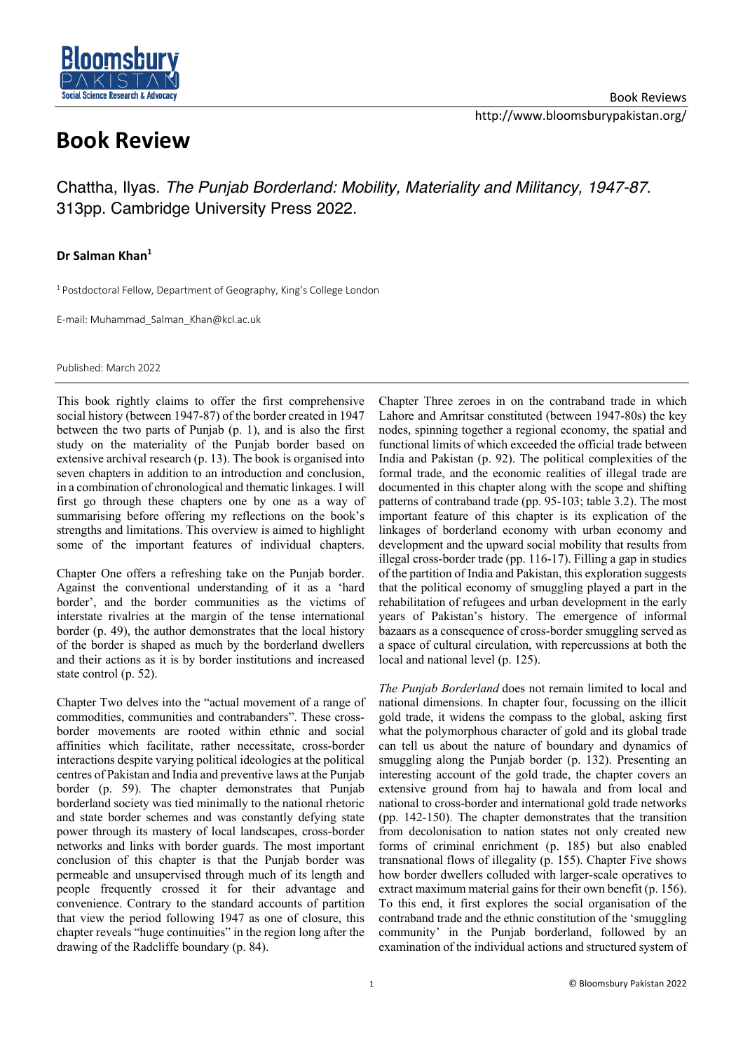

## **Book Review**

Chattha, Ilyas. *The Punjab Borderland: Mobility, Materiality and Militancy, 1947-87*. 313pp. Cambridge University Press 2022.

## **Dr Salman Khan1**

<sup>1</sup> Postdoctoral Fellow, Department of Geography, King's College London

E-mail: Muhammad\_Salman\_Khan@kcl.ac.uk

Published: March 2022

This book rightly claims to offer the first comprehensive social history (between 1947-87) of the border created in 1947 between the two parts of Punjab (p. 1), and is also the first study on the materiality of the Punjab border based on extensive archival research (p. 13). The book is organised into seven chapters in addition to an introduction and conclusion. in a combination of chronological and thematic linkages. I will first go through these chapters one by one as a way of summarising before offering my reflections on the book's strengths and limitations. This overview is aimed to highlight some of the important features of individual chapters.

Chapter One offers a refreshing take on the Punjab border. Against the conventional understanding of it as a 'hard border', and the border communities as the victims of interstate rivalries at the margin of the tense international border (p. 49), the author demonstrates that the local history of the border is shaped as much by the borderland dwellers and their actions as it is by border institutions and increased state control (p. 52).

Chapter Two delves into the "actual movement of a range of commodities, communities and contrabanders". These crossborder movements are rooted within ethnic and social affinities which facilitate, rather necessitate, cross-border interactions despite varying political ideologies at the political centres of Pakistan and India and preventive laws at the Punjab border (p. 59). The chapter demonstrates that Punjab borderland society was tied minimally to the national rhetoric and state border schemes and was constantly defying state power through its mastery of local landscapes, cross-border networks and links with border guards. The most important conclusion of this chapter is that the Punjab border was permeable and unsupervised through much of its length and people frequently crossed it for their advantage and convenience. Contrary to the standard accounts of partition that view the period following 1947 as one of closure, this chapter reveals "huge continuities" in the region long after the drawing of the Radcliffe boundary (p. 84).

Chapter Three zeroes in on the contraband trade in which Lahore and Amritsar constituted (between 1947-80s) the key nodes, spinning together a regional economy, the spatial and functional limits of which exceeded the official trade between India and Pakistan (p. 92). The political complexities of the formal trade, and the economic realities of illegal trade are documented in this chapter along with the scope and shifting patterns of contraband trade (pp. 95-103; table 3.2). The most important feature of this chapter is its explication of the linkages of borderland economy with urban economy and development and the upward social mobility that results from illegal cross-border trade (pp. 116-17). Filling a gap in studies of the partition of India and Pakistan, this exploration suggests that the political economy of smuggling played a part in the rehabilitation of refugees and urban development in the early years of Pakistan's history. The emergence of informal bazaars as a consequence of cross-border smuggling served as a space of cultural circulation, with repercussions at both the local and national level (p. 125).

*The Punjab Borderland* does not remain limited to local and national dimensions. In chapter four, focussing on the illicit gold trade, it widens the compass to the global, asking first what the polymorphous character of gold and its global trade can tell us about the nature of boundary and dynamics of smuggling along the Punjab border (p. 132). Presenting an interesting account of the gold trade, the chapter covers an extensive ground from haj to hawala and from local and national to cross-border and international gold trade networks (pp. 142-150). The chapter demonstrates that the transition from decolonisation to nation states not only created new forms of criminal enrichment (p. 185) but also enabled transnational flows of illegality (p. 155). Chapter Five shows how border dwellers colluded with larger-scale operatives to extract maximum material gains for their own benefit (p. 156). To this end, it first explores the social organisation of the contraband trade and the ethnic constitution of the 'smuggling community' in the Punjab borderland, followed by an examination of the individual actions and structured system of